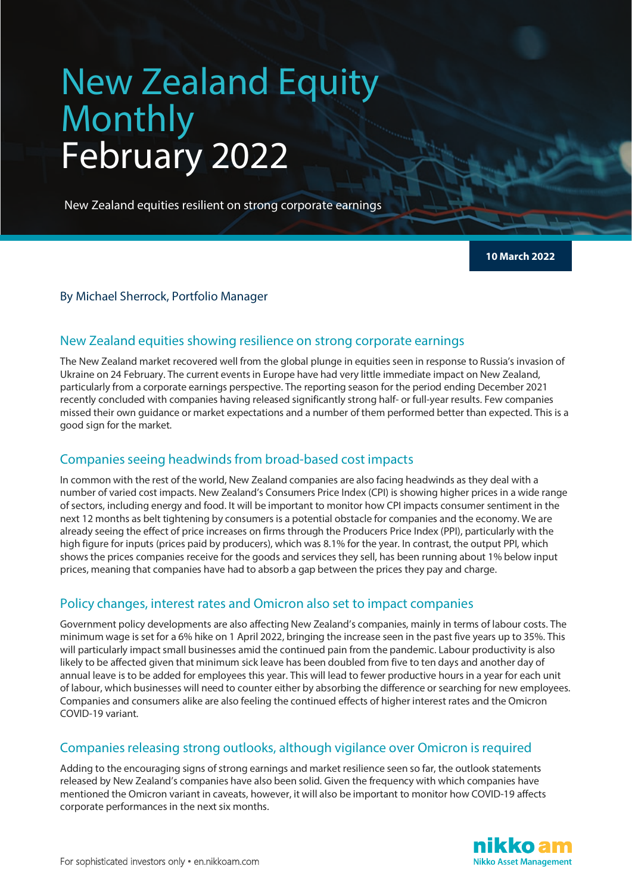# New Zealand Equity Monthly February 2022

New Zealand equities resilient on strong corporate earnings

**10 March 2022**

## By Michael Sherrock, Portfolio Manager

## New Zealand equities showing resilience on strong corporate earnings

The New Zealand market recovered well from the global plunge in equities seen in response to Russia's invasion of Ukraine on 24 February. The current events in Europe have had very little immediate impact on New Zealand, particularly from a corporate earnings perspective. The reporting season for the period ending December 2021 recently concluded with companies having released significantly strong half- or full-year results. Few companies missed their own guidance or market expectations and a number of them performed better than expected. This is a good sign for the market.

## Companies seeing headwinds from broad-based cost impacts

In common with the rest of the world, New Zealand companies are also facing headwinds as they deal with a number of varied cost impacts. New Zealand's Consumers Price Index (CPI) is showing higher prices in a wide range of sectors, including energy and food. It will be important to monitor how CPI impacts consumer sentiment in the next 12 months as belt tightening by consumers is a potential obstacle for companies and the economy. We are already seeing the effect of price increases on firms through the Producers Price Index (PPI), particularly with the high figure for inputs (prices paid by producers), which was 8.1% for the year. In contrast, the output PPI, which shows the prices companies receive for the goods and services they sell, has been running about 1% below input prices, meaning that companies have had to absorb a gap between the prices they pay and charge.

## Policy changes, interest rates and Omicron also set to impact companies

Government policy developments are also affecting New Zealand's companies, mainly in terms of labour costs. The minimum wage is set for a 6% hike on 1 April 2022, bringing the increase seen in the past five years up to 35%. This will particularly impact small businesses amid the continued pain from the pandemic. Labour productivity is also likely to be affected given that minimum sick leave has been doubled from five to ten days and another day of annual leave is to be added for employees this year. This will lead to fewer productive hours in a year for each unit of labour, which businesses will need to counter either by absorbing the difference or searching for new employees. Companies and consumers alike are also feeling the continued effects of higher interest rates and the Omicron COVID-19 variant.

## Companies releasing strong outlooks, although vigilance over Omicron is required

Adding to the encouraging signs of strong earnings and market resilience seen so far, the outlook statements released by New Zealand's companies have also been solid. Given the frequency with which companies have mentioned the Omicron variant in caveats, however, it will also be important to monitor how COVID-19 affects corporate performances in the next six months.

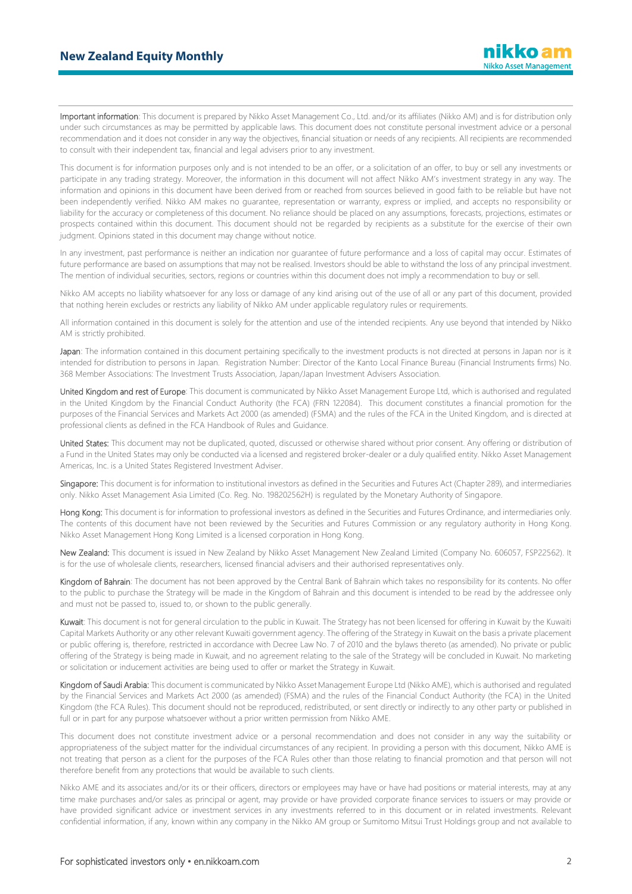Important information: This document is prepared by Nikko Asset Management Co., Ltd. and/or its affiliates (Nikko AM) and is for distribution only under such circumstances as may be permitted by applicable laws. This document does not constitute personal investment advice or a personal recommendation and it does not consider in any way the objectives, financial situation or needs of any recipients. All recipients are recommended to consult with their independent tax, financial and legal advisers prior to any investment.

This document is for information purposes only and is not intended to be an offer, or a solicitation of an offer, to buy or sell any investments or participate in any trading strategy. Moreover, the information in this document will not affect Nikko AM's investment strategy in any way. The information and opinions in this document have been derived from or reached from sources believed in good faith to be reliable but have not been independently verified. Nikko AM makes no guarantee, representation or warranty, express or implied, and accepts no responsibility or liability for the accuracy or completeness of this document. No reliance should be placed on any assumptions, forecasts, projections, estimates or prospects contained within this document. This document should not be regarded by recipients as a substitute for the exercise of their own judgment. Opinions stated in this document may change without notice.

In any investment, past performance is neither an indication nor guarantee of future performance and a loss of capital may occur. Estimates of future performance are based on assumptions that may not be realised. Investors should be able to withstand the loss of any principal investment. The mention of individual securities, sectors, regions or countries within this document does not imply a recommendation to buy or sell.

Nikko AM accepts no liability whatsoever for any loss or damage of any kind arising out of the use of all or any part of this document, provided that nothing herein excludes or restricts any liability of Nikko AM under applicable regulatory rules or requirements.

All information contained in this document is solely for the attention and use of the intended recipients. Any use beyond that intended by Nikko AM is strictly prohibited.

Japan: The information contained in this document pertaining specifically to the investment products is not directed at persons in Japan nor is it intended for distribution to persons in Japan. Registration Number: Director of the Kanto Local Finance Bureau (Financial Instruments firms) No. 368 Member Associations: The Investment Trusts Association, Japan/Japan Investment Advisers Association.

United Kingdom and rest of Europe: This document is communicated by Nikko Asset Management Europe Ltd, which is authorised and regulated in the United Kingdom by the Financial Conduct Authority (the FCA) (FRN 122084). This document constitutes a financial promotion for the purposes of the Financial Services and Markets Act 2000 (as amended) (FSMA) and the rules of the FCA in the United Kingdom, and is directed at professional clients as defined in the FCA Handbook of Rules and Guidance.

United States: This document may not be duplicated, quoted, discussed or otherwise shared without prior consent. Any offering or distribution of a Fund in the United States may only be conducted via a licensed and registered broker-dealer or a duly qualified entity. Nikko Asset Management Americas, Inc. is a United States Registered Investment Adviser.

Singapore: This document is for information to institutional investors as defined in the Securities and Futures Act (Chapter 289), and intermediaries only. Nikko Asset Management Asia Limited (Co. Reg. No. 198202562H) is regulated by the Monetary Authority of Singapore.

Hong Kong: This document is for information to professional investors as defined in the Securities and Futures Ordinance, and intermediaries only. The contents of this document have not been reviewed by the Securities and Futures Commission or any regulatory authority in Hong Kong. Nikko Asset Management Hong Kong Limited is a licensed corporation in Hong Kong.

New Zealand: This document is issued in New Zealand by Nikko Asset Management New Zealand Limited (Company No. 606057, FSP22562). It is for the use of wholesale clients, researchers, licensed financial advisers and their authorised representatives only.

Kingdom of Bahrain: The document has not been approved by the Central Bank of Bahrain which takes no responsibility for its contents. No offer to the public to purchase the Strategy will be made in the Kingdom of Bahrain and this document is intended to be read by the addressee only and must not be passed to, issued to, or shown to the public generally.

Kuwait: This document is not for general circulation to the public in Kuwait. The Strategy has not been licensed for offering in Kuwait by the Kuwaiti Capital Markets Authority or any other relevant Kuwaiti government agency. The offering of the Strategy in Kuwait on the basis a private placement or public offering is, therefore, restricted in accordance with Decree Law No. 7 of 2010 and the bylaws thereto (as amended). No private or public offering of the Strategy is being made in Kuwait, and no agreement relating to the sale of the Strategy will be concluded in Kuwait. No marketing or solicitation or inducement activities are being used to offer or market the Strategy in Kuwait.

Kingdom of Saudi Arabia: This document is communicated by Nikko Asset Management Europe Ltd (Nikko AME), which is authorised and regulated by the Financial Services and Markets Act 2000 (as amended) (FSMA) and the rules of the Financial Conduct Authority (the FCA) in the United Kingdom (the FCA Rules). This document should not be reproduced, redistributed, or sent directly or indirectly to any other party or published in full or in part for any purpose whatsoever without a prior written permission from Nikko AME.

This document does not constitute investment advice or a personal recommendation and does not consider in any way the suitability or appropriateness of the subject matter for the individual circumstances of any recipient. In providing a person with this document, Nikko AME is not treating that person as a client for the purposes of the FCA Rules other than those relating to financial promotion and that person will not therefore benefit from any protections that would be available to such clients.

Nikko AME and its associates and/or its or their officers, directors or employees may have or have had positions or material interests, may at any time make purchases and/or sales as principal or agent, may provide or have provided corporate finance services to issuers or may provide or have provided significant advice or investment services in any investments referred to in this document or in related investments. Relevant confidential information, if any, known within any company in the Nikko AM group or Sumitomo Mitsui Trust Holdings group and not available to